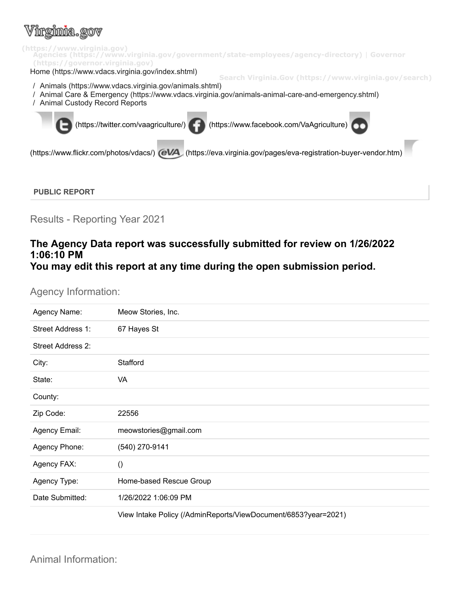# intrima.rov



Results - Reporting Year 2021

## **The Agency Data report was successfully submitted for review on 1/26/2022 1:06:10 PM You may edit this report at any time during the open submission period.**

### Agency Information:

| Agency Name:      | Meow Stories, Inc.                                             |
|-------------------|----------------------------------------------------------------|
| Street Address 1: | 67 Hayes St                                                    |
| Street Address 2: |                                                                |
| City:             | Stafford                                                       |
| State:            | <b>VA</b>                                                      |
| County:           |                                                                |
| Zip Code:         | 22556                                                          |
| Agency Email:     | meowstories@gmail.com                                          |
| Agency Phone:     | (540) 270-9141                                                 |
| Agency FAX:       | $\left( \right)$                                               |
| Agency Type:      | Home-based Rescue Group                                        |
| Date Submitted:   | 1/26/2022 1:06:09 PM                                           |
|                   | View Intake Policy (/AdminReports/ViewDocument/6853?year=2021) |

Animal Information: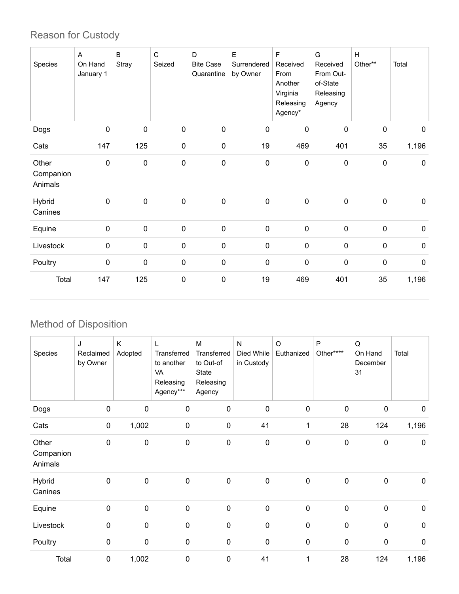## Reason for Custody

| Species                       | A<br>On Hand<br>January 1 | B<br>Stray  | $\mathsf{C}$<br>Seized | D<br><b>Bite Case</b><br>Quarantine | Е<br>Surrendered<br>by Owner | $\mathsf F$<br>Received<br>From<br>Another<br>Virginia<br>Releasing<br>Agency* | G<br>Received<br>From Out-<br>of-State<br>Releasing<br>Agency | H<br>Other**     | Total            |
|-------------------------------|---------------------------|-------------|------------------------|-------------------------------------|------------------------------|--------------------------------------------------------------------------------|---------------------------------------------------------------|------------------|------------------|
| Dogs                          | 0                         | $\mathbf 0$ | $\pmb{0}$              | $\pmb{0}$                           | $\mathbf 0$                  | $\mathbf 0$                                                                    | $\mathbf 0$                                                   | 0                | $\mathbf 0$      |
| Cats                          | 147                       | 125         | $\pmb{0}$              | $\pmb{0}$                           | 19                           | 469                                                                            | 401                                                           | 35               | 1,196            |
| Other<br>Companion<br>Animals | $\mathbf 0$               | $\pmb{0}$   | $\pmb{0}$              | $\pmb{0}$                           | $\boldsymbol{0}$             | $\pmb{0}$                                                                      | $\pmb{0}$                                                     | $\boldsymbol{0}$ | $\pmb{0}$        |
| Hybrid<br>Canines             | $\boldsymbol{0}$          | $\pmb{0}$   | $\pmb{0}$              | $\pmb{0}$                           | $\pmb{0}$                    | $\pmb{0}$                                                                      | $\pmb{0}$                                                     | $\boldsymbol{0}$ | $\boldsymbol{0}$ |
| Equine                        | $\pmb{0}$                 | $\pmb{0}$   | $\pmb{0}$              | $\pmb{0}$                           | $\mathbf 0$                  | $\pmb{0}$                                                                      | $\pmb{0}$                                                     | $\mathbf 0$      | $\pmb{0}$        |
| Livestock                     | $\pmb{0}$                 | $\mathbf 0$ | $\pmb{0}$              | $\pmb{0}$                           | $\pmb{0}$                    | $\pmb{0}$                                                                      | $\pmb{0}$                                                     | 0                | $\pmb{0}$        |
| Poultry                       | $\mathbf 0$               | $\mathbf 0$ | $\pmb{0}$              | $\mathbf 0$                         | $\mathbf 0$                  | $\mathbf 0$                                                                    | $\pmb{0}$                                                     | $\mathbf 0$      | $\mathbf 0$      |
| Total                         | 147                       | 125         | $\pmb{0}$              | $\pmb{0}$                           | 19                           | 469                                                                            | 401                                                           | 35               | 1,196            |

## Method of Disposition

| Species                       | J<br>Reclaimed<br>by Owner | K<br>Adopted | L<br>Transferred<br>to another<br>VA<br>Releasing<br>Agency*** | M<br>Transferred<br>to Out-of<br>State<br>Releasing<br>Agency | ${\sf N}$<br>Died While<br>in Custody | $\circ$<br>Euthanized | $\mathsf{P}$<br>Other**** | Q<br>On Hand<br>December<br>31 | Total       |
|-------------------------------|----------------------------|--------------|----------------------------------------------------------------|---------------------------------------------------------------|---------------------------------------|-----------------------|---------------------------|--------------------------------|-------------|
| Dogs                          | 0                          | $\pmb{0}$    | $\mathbf 0$                                                    | $\pmb{0}$                                                     | 0                                     | $\pmb{0}$             | $\mathbf 0$               | 0                              | $\mathbf 0$ |
| Cats                          | $\pmb{0}$                  | 1,002        | $\pmb{0}$                                                      | $\pmb{0}$                                                     | 41                                    | $\mathbf{1}$          | 28                        | 124                            | 1,196       |
| Other<br>Companion<br>Animals | $\mathbf 0$                | $\mathbf 0$  | $\mathbf 0$                                                    | 0                                                             | $\mathbf 0$                           | $\pmb{0}$             | $\pmb{0}$                 | 0                              | $\mathbf 0$ |
| Hybrid<br>Canines             | $\mathbf 0$                | $\mathbf 0$  | $\pmb{0}$                                                      | $\pmb{0}$                                                     | $\mathbf 0$                           | $\pmb{0}$             | $\pmb{0}$                 | 0                              | $\mathbf 0$ |
| Equine                        | $\mathbf 0$                | $\pmb{0}$    | $\pmb{0}$                                                      | $\pmb{0}$                                                     | $\mathbf 0$                           | $\pmb{0}$             | $\pmb{0}$                 | $\pmb{0}$                      | $\mathbf 0$ |
| Livestock                     | 0                          | $\mathbf 0$  | $\mathbf 0$                                                    | $\pmb{0}$                                                     | 0                                     | $\pmb{0}$             | $\pmb{0}$                 | $\mathbf 0$                    | $\pmb{0}$   |
| Poultry                       | 0                          | $\pmb{0}$    | $\pmb{0}$                                                      | $\pmb{0}$                                                     | $\mathbf 0$                           | $\pmb{0}$             | $\pmb{0}$                 | $\pmb{0}$                      | $\pmb{0}$   |
| Total                         | 0                          | 1,002        | 0                                                              | 0                                                             | 41                                    | 1                     | 28                        | 124                            | 1,196       |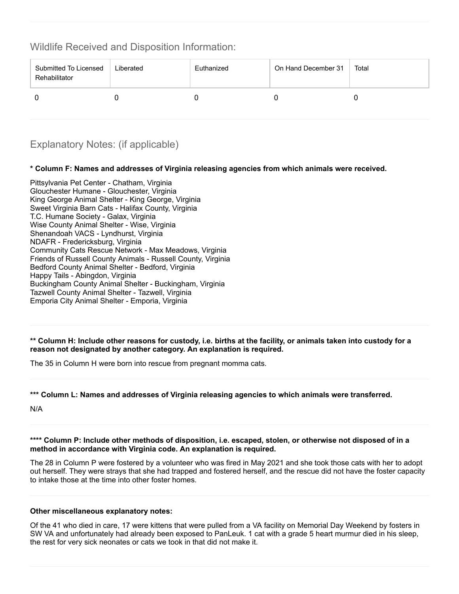Wildlife Received and Disposition Information:

| Submitted To Licensed<br>Rehabilitator | Liberated | Euthanized | On Hand December 31 | Total |
|----------------------------------------|-----------|------------|---------------------|-------|
|                                        |           |            |                     |       |

## Explanatory Notes: (if applicable)

#### **\* Column F: Names and addresses of Virginia releasing agencies from which animals were received.**

Pittsylvania Pet Center - Chatham, Virginia Glouchester Humane - Glouchester, Virginia King George Animal Shelter - King George, Virginia Sweet Virginia Barn Cats - Halifax County, Virginia T.C. Humane Society - Galax, Virginia Wise County Animal Shelter - Wise, Virginia Shenandoah VACS - Lyndhurst, Virginia NDAFR - Fredericksburg, Virginia Community Cats Rescue Network - Max Meadows, Virginia Friends of Russell County Animals - Russell County, Virginia Bedford County Animal Shelter - Bedford, Virginia Happy Tails - Abingdon, Virginia Buckingham County Animal Shelter - Buckingham, Virginia Tazwell County Animal Shelter - Tazwell, Virginia Emporia City Animal Shelter - Emporia, Virginia

\*\* Column H: Include other reasons for custody, i.e. births at the facility, or animals taken into custody for a **reason not designated by another category. An explanation is required.**

The 35 in Column H were born into rescue from pregnant momma cats.

#### **\*\*\* Column L: Names and addresses of Virginia releasing agencies to which animals were transferred.**

N/A

\*\*\*\* Column P: Include other methods of disposition, i.e. escaped, stolen, or otherwise not disposed of in a **method in accordance with Virginia code. An explanation is required.**

The 28 in Column P were fostered by a volunteer who was fired in May 2021 and she took those cats with her to adopt out herself. They were strays that she had trapped and fostered herself, and the rescue did not have the foster capacity to intake those at the time into other foster homes.

#### **Other miscellaneous explanatory notes:**

Of the 41 who died in care, 17 were kittens that were pulled from a VA facility on Memorial Day Weekend by fosters in SW VA and unfortunately had already been exposed to PanLeuk. 1 cat with a grade 5 heart murmur died in his sleep, the rest for very sick neonates or cats we took in that did not make it.